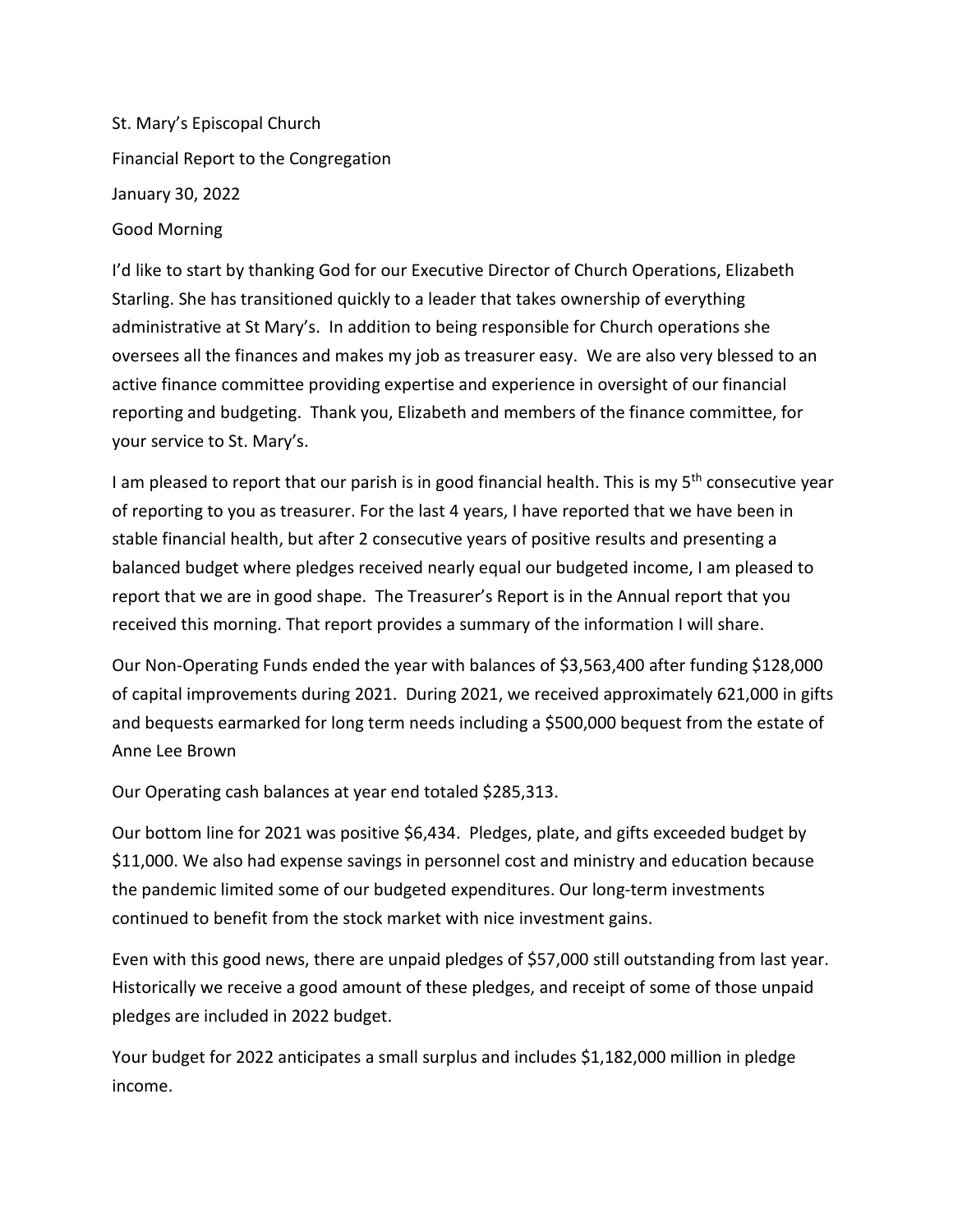St. Mary's Episcopal Church Financial Report to the Congregation January 30, 2022 Good Morning

I'd like to start by thanking God for our Executive Director of Church Operations, Elizabeth Starling. She has transitioned quickly to a leader that takes ownership of everything administrative at St Mary's. In addition to being responsible for Church operations she oversees all the finances and makes my job as treasurer easy. We are also very blessed to an active finance committee providing expertise and experience in oversight of our financial reporting and budgeting. Thank you, Elizabeth and members of the finance committee, for your service to St. Mary's.

I am pleased to report that our parish is in good financial health. This is my 5<sup>th</sup> consecutive year of reporting to you as treasurer. For the last 4 years, I have reported that we have been in stable financial health, but after 2 consecutive years of positive results and presenting a balanced budget where pledges received nearly equal our budgeted income, I am pleased to report that we are in good shape. The Treasurer's Report is in the Annual report that you received this morning. That report provides a summary of the information I will share.

Our Non-Operating Funds ended the year with balances of \$3,563,400 after funding \$128,000 of capital improvements during 2021. During 2021, we received approximately 621,000 in gifts and bequests earmarked for long term needs including a \$500,000 bequest from the estate of Anne Lee Brown

Our Operating cash balances at year end totaled \$285,313.

Our bottom line for 2021 was positive \$6,434. Pledges, plate, and gifts exceeded budget by \$11,000. We also had expense savings in personnel cost and ministry and education because the pandemic limited some of our budgeted expenditures. Our long-term investments continued to benefit from the stock market with nice investment gains.

Even with this good news, there are unpaid pledges of \$57,000 still outstanding from last year. Historically we receive a good amount of these pledges, and receipt of some of those unpaid pledges are included in 2022 budget.

Your budget for 2022 anticipates a small surplus and includes \$1,182,000 million in pledge income.